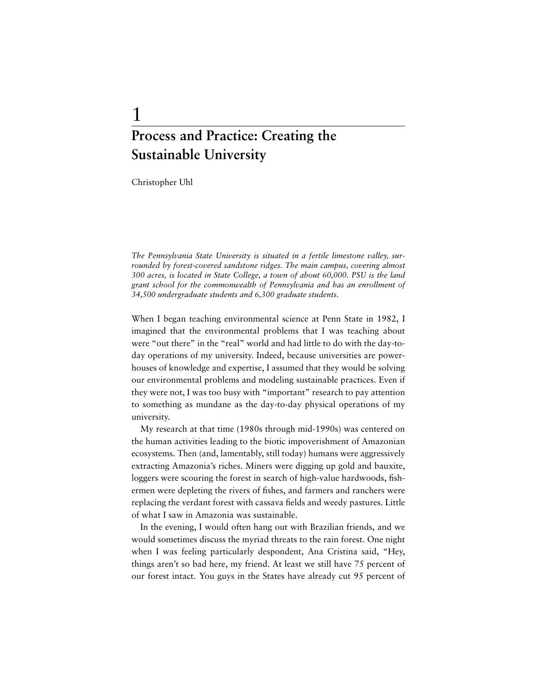# **[Process and Practice: Creating the](#page--1-0) Sustainable University**

Christopher Uhl

1

*The Pennsylvania State University is situated in a fertile limestone valley, surrounded by forest-covered sandstone ridges. The main campus, covering almost 300 acres, is located in State College, a town of about 60,000. PSU is the land grant school for the commonwealth of Pennsylvania and has an enrollment of 34,500 undergraduate students and 6,300 graduate students.*

When I began teaching environmental science at Penn State in 1982, I imagined that the environmental problems that I was teaching about were "out there" in the "real" world and had little to do with the day-today operations of my university. Indeed, because universities are powerhouses of knowledge and expertise, I assumed that they would be solving our environmental problems and modeling sustainable practices. Even if they were not, I was too busy with "important" research to pay attention to something as mundane as the day-to-day physical operations of my university.

My research at that time (1980s through mid-1990s) was centered on the human activities leading to the biotic impoverishment of Amazonian ecosystems. Then (and, lamentably, still today) humans were aggressively extracting Amazonia's riches. Miners were digging up gold and bauxite, loggers were scouring the forest in search of high-value hardwoods, fishermen were depleting the rivers of fishes, and farmers and ranchers were replacing the verdant forest with cassava fields and weedy pastures. Little of what I saw in Amazonia was sustainable.

In the evening, I would often hang out with Brazilian friends, and we would sometimes discuss the myriad threats to the rain forest. One night when I was feeling particularly despondent, Ana Cristina said, "Hey, things aren't so bad here, my friend. At least we still have 75 percent of our forest intact. You guys in the States have already cut 95 percent of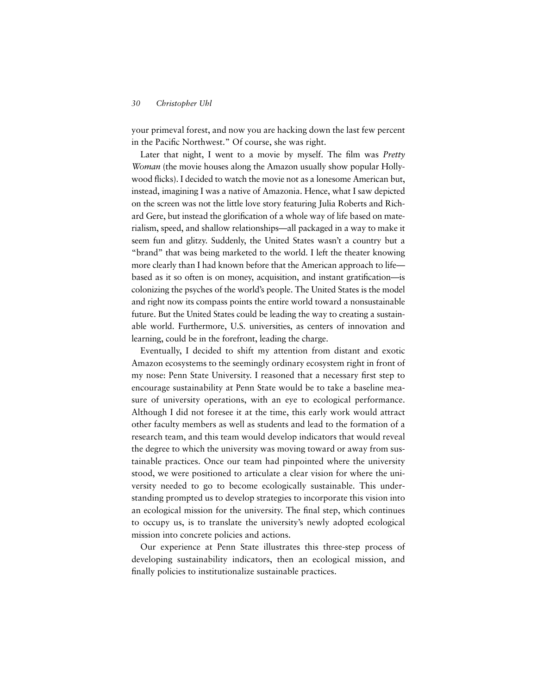your primeval forest, and now you are hacking down the last few percent in the Pacific Northwest." Of course, she was right.

Later that night, I went to a movie by myself. The film was *Pretty Woman* (the movie houses along the Amazon usually show popular Hollywood flicks). I decided to watch the movie not as a lonesome American but, instead, imagining I was a native of Amazonia. Hence, what I saw depicted on the screen was not the little love story featuring Julia Roberts and Richard Gere, but instead the glorification of a whole way of life based on materialism, speed, and shallow relationships—all packaged in a way to make it seem fun and glitzy. Suddenly, the United States wasn't a country but a "brand" that was being marketed to the world. I left the theater knowing more clearly than I had known before that the American approach to life based as it so often is on money, acquisition, and instant gratification—is colonizing the psyches of the world's people. The United States is the model and right now its compass points the entire world toward a nonsustainable future. But the United States could be leading the way to creating a sustainable world. Furthermore, U.S. universities, as centers of innovation and learning, could be in the forefront, leading the charge.

Eventually, I decided to shift my attention from distant and exotic Amazon ecosystems to the seemingly ordinary ecosystem right in front of my nose: Penn State University. I reasoned that a necessary first step to encourage sustainability at Penn State would be to take a baseline measure of university operations, with an eye to ecological performance. Although I did not foresee it at the time, this early work would attract other faculty members as well as students and lead to the formation of a research team, and this team would develop indicators that would reveal the degree to which the university was moving toward or away from sustainable practices. Once our team had pinpointed where the university stood, we were positioned to articulate a clear vision for where the university needed to go to become ecologically sustainable. This understanding prompted us to develop strategies to incorporate this vision into an ecological mission for the university. The final step, which continues to occupy us, is to translate the university's newly adopted ecological mission into concrete policies and actions.

Our experience at Penn State illustrates this three-step process of developing sustainability indicators, then an ecological mission, and finally policies to institutionalize sustainable practices.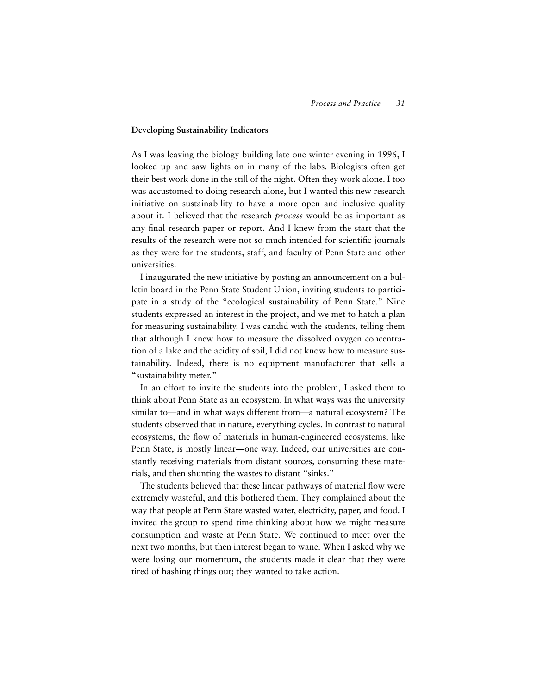## **Developing Sustainability Indicators**

As I was leaving the biology building late one winter evening in 1996, I looked up and saw lights on in many of the labs. Biologists often get their best work done in the still of the night. Often they work alone. I too was accustomed to doing research alone, but I wanted this new research initiative on sustainability to have a more open and inclusive quality about it. I believed that the research *process* would be as important as any final research paper or report. And I knew from the start that the results of the research were not so much intended for scientific journals as they were for the students, staff, and faculty of Penn State and other universities.

I inaugurated the new initiative by posting an announcement on a bulletin board in the Penn State Student Union, inviting students to participate in a study of the "ecological sustainability of Penn State." Nine students expressed an interest in the project, and we met to hatch a plan for measuring sustainability. I was candid with the students, telling them that although I knew how to measure the dissolved oxygen concentration of a lake and the acidity of soil, I did not know how to measure sustainability. Indeed, there is no equipment manufacturer that sells a "sustainability meter."

In an effort to invite the students into the problem, I asked them to think about Penn State as an ecosystem. In what ways was the university similar to—and in what ways different from—a natural ecosystem? The students observed that in nature, everything cycles. In contrast to natural ecosystems, the flow of materials in human-engineered ecosystems, like Penn State, is mostly linear—one way. Indeed, our universities are constantly receiving materials from distant sources, consuming these materials, and then shunting the wastes to distant "sinks."

The students believed that these linear pathways of material flow were extremely wasteful, and this bothered them. They complained about the way that people at Penn State wasted water, electricity, paper, and food. I invited the group to spend time thinking about how we might measure consumption and waste at Penn State. We continued to meet over the next two months, but then interest began to wane. When I asked why we were losing our momentum, the students made it clear that they were tired of hashing things out; they wanted to take action.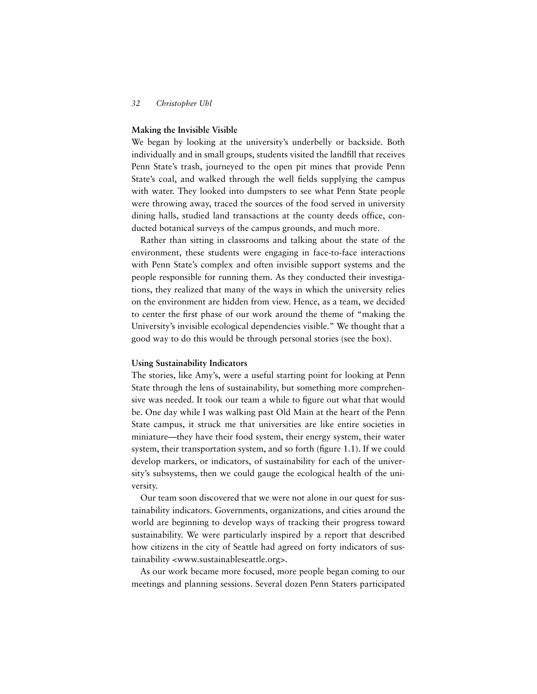## **Making the Invisible Visible**

We began by looking at the university's underbelly or backside. Both individually and in small groups, students visited the landfill that receives Penn State's trash, journeyed to the open pit mines that provide Penn State's coal, and walked through the well fields supplying the campus with water. They looked into dumpsters to see what Penn State people were throwing away, traced the sources of the food served in university dining halls, studied land transactions at the county deeds office, conducted botanical surveys of the campus grounds, and much more.

Rather than sitting in classrooms and talking about the state of the environment, these students were engaging in face-to-face interactions with Penn State's complex and often invisible support systems and the people responsible for running them. As they conducted their investigations, they realized that many of the ways in which the university relies on the environment are hidden from view. Hence, as a team, we decided to center the first phase of our work around the theme of "making the University's invisible ecological dependencies visible." We thought that a good way to do this would be through personal stories (see the box).

#### **Using Sustainability Indicators**

The stories, like Amy's, were a useful starting point for looking at Penn State through the lens of sustainability, but something more comprehensive was needed. It took our team a while to figure out what that would be. One day while I was walking past Old Main at the heart of the Penn State campus, it struck me that universities are like entire societies in miniature—they have their food system, their energy system, their water system, their transportation system, and so forth (figure 1.1). If we could develop markers, or indicators, of sustainability for each of the university's subsystems, then we could gauge the ecological health of the university.

Our team soon discovered that we were not alone in our quest for sustainability indicators. Governments, organizations, and cities around the world are beginning to develop ways of tracking their progress toward sustainability. We were particularly inspired by a report that described how citizens in the city of Seattle had agreed on forty indicators of sustainability <www.sustainableseattle.org>.

As our work became more focused, more people began coming to our meetings and planning sessions. Several dozen Penn Staters participated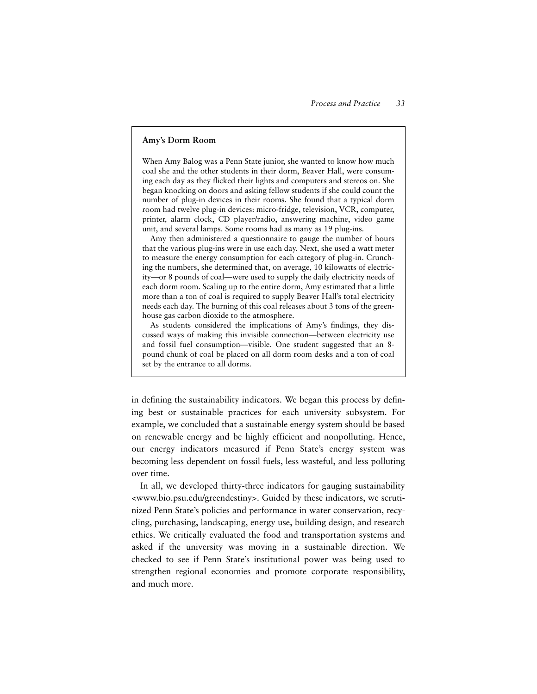## **Amy's Dorm Room**

When Amy Balog was a Penn State junior, she wanted to know how much coal she and the other students in their dorm, Beaver Hall, were consuming each day as they flicked their lights and computers and stereos on. She began knocking on doors and asking fellow students if she could count the number of plug-in devices in their rooms. She found that a typical dorm room had twelve plug-in devices: micro-fridge, television, VCR, computer, printer, alarm clock, CD player/radio, answering machine, video game unit, and several lamps. Some rooms had as many as 19 plug-ins.

Amy then administered a questionnaire to gauge the number of hours that the various plug-ins were in use each day. Next, she used a watt meter to measure the energy consumption for each category of plug-in. Crunching the numbers, she determined that, on average, 10 kilowatts of electricity—or 8 pounds of coal—were used to supply the daily electricity needs of each dorm room. Scaling up to the entire dorm, Amy estimated that a little more than a ton of coal is required to supply Beaver Hall's total electricity needs each day. The burning of this coal releases about 3 tons of the greenhouse gas carbon dioxide to the atmosphere.

As students considered the implications of Amy's findings, they discussed ways of making this invisible connection—between electricity use and fossil fuel consumption—visible. One student suggested that an 8 pound chunk of coal be placed on all dorm room desks and a ton of coal set by the entrance to all dorms.

in defining the sustainability indicators. We began this process by defining best or sustainable practices for each university subsystem. For example, we concluded that a sustainable energy system should be based on renewable energy and be highly efficient and nonpolluting. Hence, our energy indicators measured if Penn State's energy system was becoming less dependent on fossil fuels, less wasteful, and less polluting over time.

In all, we developed thirty-three indicators for gauging sustainability <www.bio.psu.edu/greendestiny>. Guided by these indicators, we scrutinized Penn State's policies and performance in water conservation, recycling, purchasing, landscaping, energy use, building design, and research ethics. We critically evaluated the food and transportation systems and asked if the university was moving in a sustainable direction. We checked to see if Penn State's institutional power was being used to strengthen regional economies and promote corporate responsibility, and much more.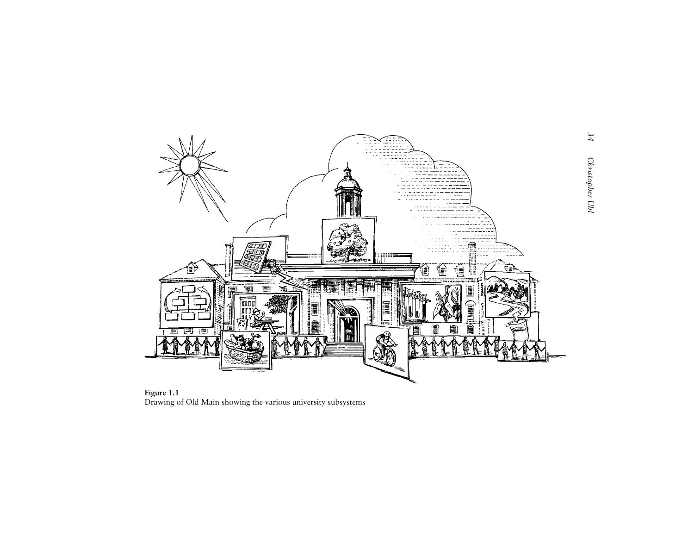

**Figure 1.1** Drawing of Old Main showing the various university subsystems

 $34$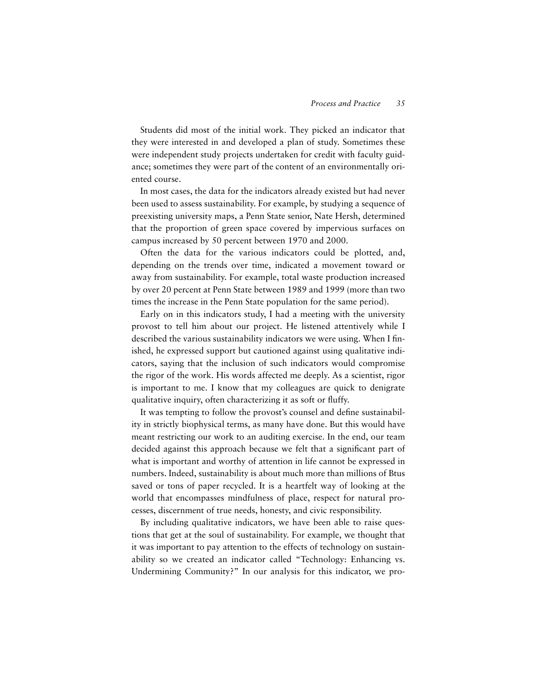Students did most of the initial work. They picked an indicator that they were interested in and developed a plan of study. Sometimes these were independent study projects undertaken for credit with faculty guidance; sometimes they were part of the content of an environmentally oriented course.

In most cases, the data for the indicators already existed but had never been used to assess sustainability. For example, by studying a sequence of preexisting university maps, a Penn State senior, Nate Hersh, determined that the proportion of green space covered by impervious surfaces on campus increased by 50 percent between 1970 and 2000.

Often the data for the various indicators could be plotted, and, depending on the trends over time, indicated a movement toward or away from sustainability. For example, total waste production increased by over 20 percent at Penn State between 1989 and 1999 (more than two times the increase in the Penn State population for the same period).

Early on in this indicators study, I had a meeting with the university provost to tell him about our project. He listened attentively while I described the various sustainability indicators we were using. When I finished, he expressed support but cautioned against using qualitative indicators, saying that the inclusion of such indicators would compromise the rigor of the work. His words affected me deeply. As a scientist, rigor is important to me. I know that my colleagues are quick to denigrate qualitative inquiry, often characterizing it as soft or fluffy.

It was tempting to follow the provost's counsel and define sustainability in strictly biophysical terms, as many have done. But this would have meant restricting our work to an auditing exercise. In the end, our team decided against this approach because we felt that a significant part of what is important and worthy of attention in life cannot be expressed in numbers. Indeed, sustainability is about much more than millions of Btus saved or tons of paper recycled. It is a heartfelt way of looking at the world that encompasses mindfulness of place, respect for natural processes, discernment of true needs, honesty, and civic responsibility.

By including qualitative indicators, we have been able to raise questions that get at the soul of sustainability. For example, we thought that it was important to pay attention to the effects of technology on sustainability so we created an indicator called "Technology: Enhancing vs. Undermining Community?" In our analysis for this indicator, we pro-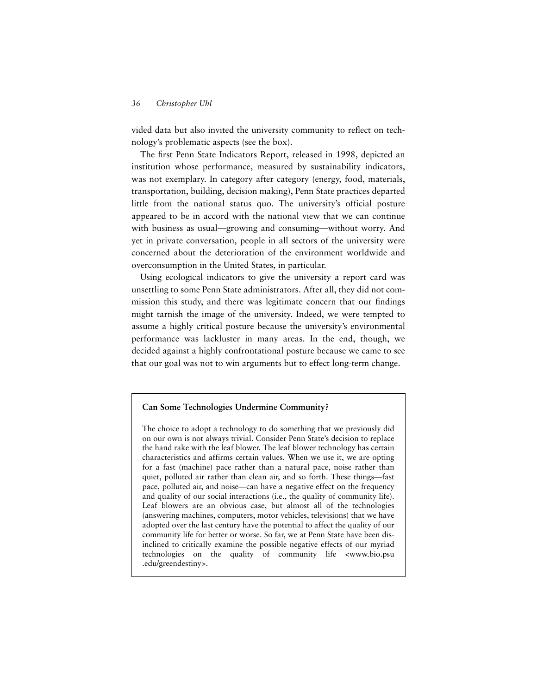vided data but also invited the university community to reflect on technology's problematic aspects (see the box).

The first Penn State Indicators Report, released in 1998, depicted an institution whose performance, measured by sustainability indicators, was not exemplary. In category after category (energy, food, materials, transportation, building, decision making), Penn State practices departed little from the national status quo. The university's official posture appeared to be in accord with the national view that we can continue with business as usual—growing and consuming—without worry. And yet in private conversation, people in all sectors of the university were concerned about the deterioration of the environment worldwide and overconsumption in the United States, in particular.

Using ecological indicators to give the university a report card was unsettling to some Penn State administrators. After all, they did not commission this study, and there was legitimate concern that our findings might tarnish the image of the university. Indeed, we were tempted to assume a highly critical posture because the university's environmental performance was lackluster in many areas. In the end, though, we decided against a highly confrontational posture because we came to see that our goal was not to win arguments but to effect long-term change.

#### **Can Some Technologies Undermine Community?**

The choice to adopt a technology to do something that we previously did on our own is not always trivial. Consider Penn State's decision to replace the hand rake with the leaf blower. The leaf blower technology has certain characteristics and affirms certain values. When we use it, we are opting for a fast (machine) pace rather than a natural pace, noise rather than quiet, polluted air rather than clean air, and so forth. These things—fast pace, polluted air, and noise—can have a negative effect on the frequency and quality of our social interactions (i.e., the quality of community life). Leaf blowers are an obvious case, but almost all of the technologies (answering machines, computers, motor vehicles, televisions) that we have adopted over the last century have the potential to affect the quality of our community life for better or worse. So far, we at Penn State have been disinclined to critically examine the possible negative effects of our myriad technologies on the quality of community life <www.bio.psu .edu/greendestiny>.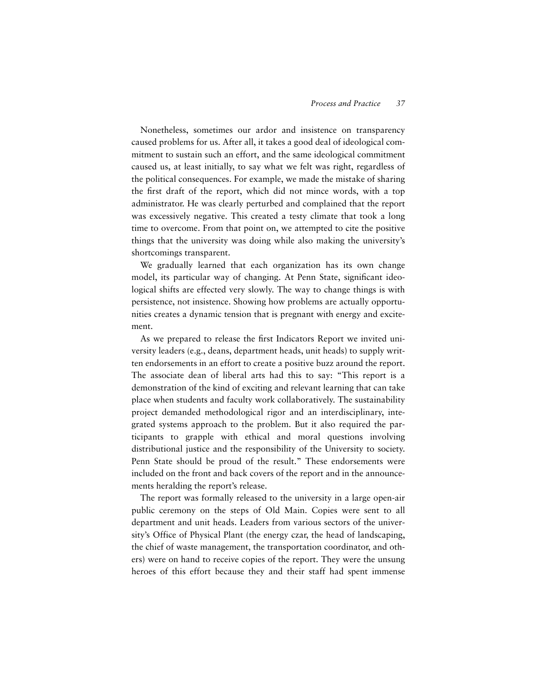## *Process and Practice 37*

Nonetheless, sometimes our ardor and insistence on transparency caused problems for us. After all, it takes a good deal of ideological commitment to sustain such an effort, and the same ideological commitment caused us, at least initially, to say what we felt was right, regardless of the political consequences. For example, we made the mistake of sharing the first draft of the report, which did not mince words, with a top administrator. He was clearly perturbed and complained that the report was excessively negative. This created a testy climate that took a long time to overcome. From that point on, we attempted to cite the positive things that the university was doing while also making the university's shortcomings transparent.

We gradually learned that each organization has its own change model, its particular way of changing. At Penn State, significant ideological shifts are effected very slowly. The way to change things is with persistence, not insistence. Showing how problems are actually opportunities creates a dynamic tension that is pregnant with energy and excitement.

As we prepared to release the first Indicators Report we invited university leaders (e.g., deans, department heads, unit heads) to supply written endorsements in an effort to create a positive buzz around the report. The associate dean of liberal arts had this to say: "This report is a demonstration of the kind of exciting and relevant learning that can take place when students and faculty work collaboratively. The sustainability project demanded methodological rigor and an interdisciplinary, integrated systems approach to the problem. But it also required the participants to grapple with ethical and moral questions involving distributional justice and the responsibility of the University to society. Penn State should be proud of the result." These endorsements were included on the front and back covers of the report and in the announcements heralding the report's release.

The report was formally released to the university in a large open-air public ceremony on the steps of Old Main. Copies were sent to all department and unit heads. Leaders from various sectors of the university's Office of Physical Plant (the energy czar, the head of landscaping, the chief of waste management, the transportation coordinator, and others) were on hand to receive copies of the report. They were the unsung heroes of this effort because they and their staff had spent immense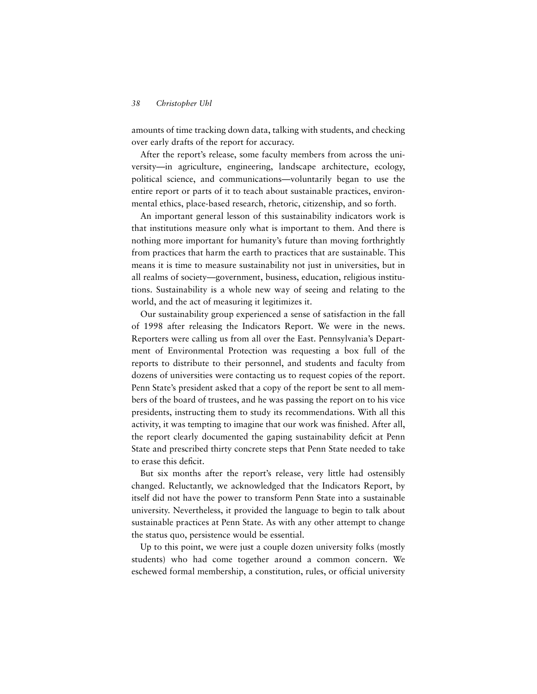amounts of time tracking down data, talking with students, and checking over early drafts of the report for accuracy.

After the report's release, some faculty members from across the university—in agriculture, engineering, landscape architecture, ecology, political science, and communications—voluntarily began to use the entire report or parts of it to teach about sustainable practices, environmental ethics, place-based research, rhetoric, citizenship, and so forth.

An important general lesson of this sustainability indicators work is that institutions measure only what is important to them. And there is nothing more important for humanity's future than moving forthrightly from practices that harm the earth to practices that are sustainable. This means it is time to measure sustainability not just in universities, but in all realms of society—government, business, education, religious institutions. Sustainability is a whole new way of seeing and relating to the world, and the act of measuring it legitimizes it.

Our sustainability group experienced a sense of satisfaction in the fall of 1998 after releasing the Indicators Report. We were in the news. Reporters were calling us from all over the East. Pennsylvania's Department of Environmental Protection was requesting a box full of the reports to distribute to their personnel, and students and faculty from dozens of universities were contacting us to request copies of the report. Penn State's president asked that a copy of the report be sent to all members of the board of trustees, and he was passing the report on to his vice presidents, instructing them to study its recommendations. With all this activity, it was tempting to imagine that our work was finished. After all, the report clearly documented the gaping sustainability deficit at Penn State and prescribed thirty concrete steps that Penn State needed to take to erase this deficit.

But six months after the report's release, very little had ostensibly changed. Reluctantly, we acknowledged that the Indicators Report, by itself did not have the power to transform Penn State into a sustainable university. Nevertheless, it provided the language to begin to talk about sustainable practices at Penn State. As with any other attempt to change the status quo, persistence would be essential.

Up to this point, we were just a couple dozen university folks (mostly students) who had come together around a common concern. We eschewed formal membership, a constitution, rules, or official university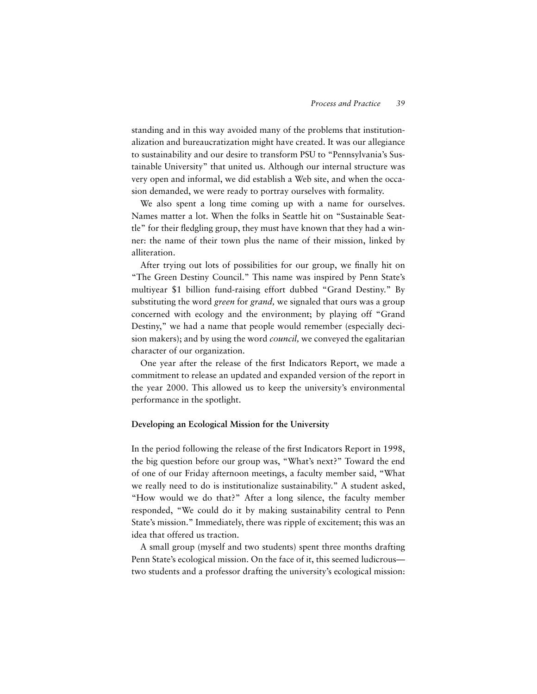standing and in this way avoided many of the problems that institutionalization and bureaucratization might have created. It was our allegiance to sustainability and our desire to transform PSU to "Pennsylvania's Sustainable University" that united us. Although our internal structure was very open and informal, we did establish a Web site, and when the occasion demanded, we were ready to portray ourselves with formality.

We also spent a long time coming up with a name for ourselves. Names matter a lot. When the folks in Seattle hit on "Sustainable Seattle" for their fledgling group, they must have known that they had a winner: the name of their town plus the name of their mission, linked by alliteration.

After trying out lots of possibilities for our group, we finally hit on "The Green Destiny Council." This name was inspired by Penn State's multiyear \$1 billion fund-raising effort dubbed "Grand Destiny." By substituting the word *green* for *grand,* we signaled that ours was a group concerned with ecology and the environment; by playing off "Grand Destiny," we had a name that people would remember (especially decision makers); and by using the word *council,* we conveyed the egalitarian character of our organization.

One year after the release of the first Indicators Report, we made a commitment to release an updated and expanded version of the report in the year 2000. This allowed us to keep the university's environmental performance in the spotlight.

# **Developing an Ecological Mission for the University**

In the period following the release of the first Indicators Report in 1998, the big question before our group was, "What's next?" Toward the end of one of our Friday afternoon meetings, a faculty member said, "What we really need to do is institutionalize sustainability." A student asked, "How would we do that?" After a long silence, the faculty member responded, "We could do it by making sustainability central to Penn State's mission." Immediately, there was ripple of excitement; this was an idea that offered us traction.

A small group (myself and two students) spent three months drafting Penn State's ecological mission. On the face of it, this seemed ludicrous two students and a professor drafting the university's ecological mission: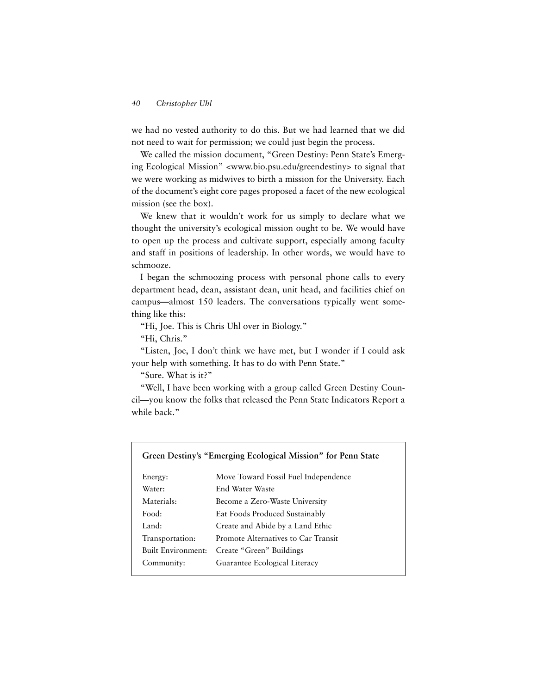we had no vested authority to do this. But we had learned that we did not need to wait for permission; we could just begin the process.

We called the mission document, "Green Destiny: Penn State's Emerging Ecological Mission" <www.bio.psu.edu/greendestiny> to signal that we were working as midwives to birth a mission for the University. Each of the document's eight core pages proposed a facet of the new ecological mission (see the box).

We knew that it wouldn't work for us simply to declare what we thought the university's ecological mission ought to be. We would have to open up the process and cultivate support, especially among faculty and staff in positions of leadership. In other words, we would have to schmooze.

I began the schmoozing process with personal phone calls to every department head, dean, assistant dean, unit head, and facilities chief on campus—almost 150 leaders. The conversations typically went something like this:

"Hi, Joe. This is Chris Uhl over in Biology."

"Hi, Chris."

"Listen, Joe, I don't think we have met, but I wonder if I could ask your help with something. It has to do with Penn State."

"Sure. What is it?"

"Well, I have been working with a group called Green Destiny Council—you know the folks that released the Penn State Indicators Report a while back."

|                    | Green Destiny's "Emerging Ecological Mission" for Penn State |
|--------------------|--------------------------------------------------------------|
| Energy:            | Move Toward Fossil Fuel Independence                         |
| Water:             | End Water Waste                                              |
| Materials:         | Become a Zero-Waste University                               |
| Food:              | Eat Foods Produced Sustainably                               |
| Land:              | Create and Abide by a Land Ethic                             |
| Transportation:    | Promote Alternatives to Car Transit                          |
| Built Environment: | Create "Green" Buildings                                     |
| Community:         | Guarantee Ecological Literacy                                |
|                    |                                                              |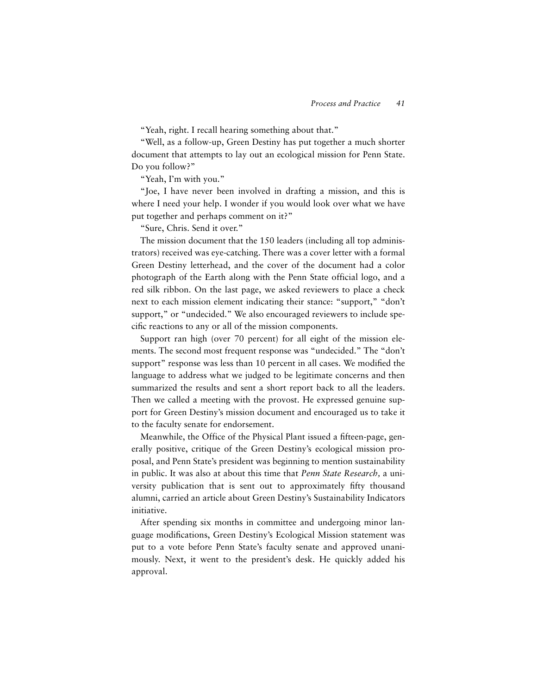"Yeah, right. I recall hearing something about that."

"Well, as a follow-up, Green Destiny has put together a much shorter document that attempts to lay out an ecological mission for Penn State. Do you follow?"

"Yeah, I'm with you."

"Joe, I have never been involved in drafting a mission, and this is where I need your help. I wonder if you would look over what we have put together and perhaps comment on it?"

"Sure, Chris. Send it over."

The mission document that the 150 leaders (including all top administrators) received was eye-catching. There was a cover letter with a formal Green Destiny letterhead, and the cover of the document had a color photograph of the Earth along with the Penn State official logo, and a red silk ribbon. On the last page, we asked reviewers to place a check next to each mission element indicating their stance: "support," "don't support," or "undecided." We also encouraged reviewers to include specific reactions to any or all of the mission components.

Support ran high (over 70 percent) for all eight of the mission elements. The second most frequent response was "undecided." The "don't support" response was less than 10 percent in all cases. We modified the language to address what we judged to be legitimate concerns and then summarized the results and sent a short report back to all the leaders. Then we called a meeting with the provost. He expressed genuine support for Green Destiny's mission document and encouraged us to take it to the faculty senate for endorsement.

Meanwhile, the Office of the Physical Plant issued a fifteen-page, generally positive, critique of the Green Destiny's ecological mission proposal, and Penn State's president was beginning to mention sustainability in public. It was also at about this time that *Penn State Research,* a university publication that is sent out to approximately fifty thousand alumni, carried an article about Green Destiny's Sustainability Indicators initiative.

After spending six months in committee and undergoing minor language modifications, Green Destiny's Ecological Mission statement was put to a vote before Penn State's faculty senate and approved unanimously. Next, it went to the president's desk. He quickly added his approval.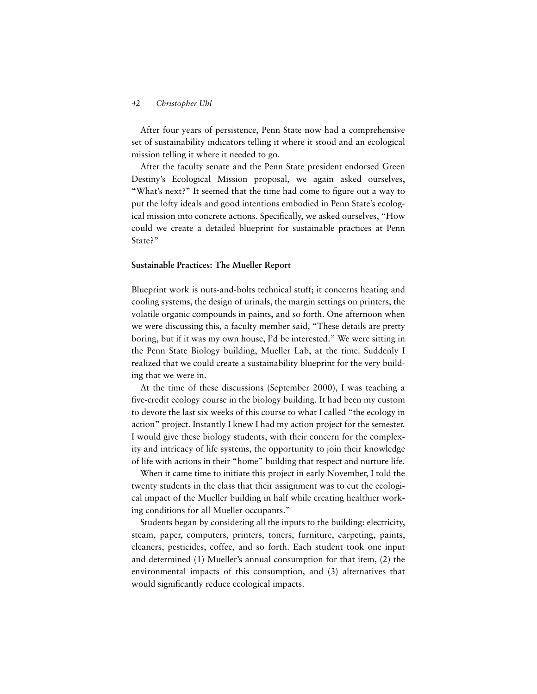After four years of persistence, Penn State now had a comprehensive set of sustainability indicators telling it where it stood and an ecological mission telling it where it needed to go.

After the faculty senate and the Penn State president endorsed Green Destiny's Ecological Mission proposal, we again asked ourselves, "What's next?" It seemed that the time had come to figure out a way to put the lofty ideals and good intentions embodied in Penn State's ecological mission into concrete actions. Specifically, we asked ourselves, "How could we create a detailed blueprint for sustainable practices at Penn State?"

## **Sustainable Practices: The Mueller Report**

Blueprint work is nuts-and-bolts technical stuff; it concerns heating and cooling systems, the design of urinals, the margin settings on printers, the volatile organic compounds in paints, and so forth. One afternoon when we were discussing this, a faculty member said, "These details are pretty boring, but if it was my own house, I'd be interested." We were sitting in the Penn State Biology building, Mueller Lab, at the time. Suddenly I realized that we could create a sustainability blueprint for the very building that we were in.

At the time of these discussions (September 2000), I was teaching a five-credit ecology course in the biology building. It had been my custom to devote the last six weeks of this course to what I called "the ecology in action" project. Instantly I knew I had my action project for the semester. I would give these biology students, with their concern for the complexity and intricacy of life systems, the opportunity to join their knowledge of life with actions in their "home" building that respect and nurture life.

When it came time to initiate this project in early November, I told the twenty students in the class that their assignment was to cut the ecological impact of the Mueller building in half while creating healthier working conditions for all Mueller occupants."

Students began by considering all the inputs to the building: electricity, steam, paper, computers, printers, toners, furniture, carpeting, paints, cleaners, pesticides, coffee, and so forth. Each student took one input and determined (1) Mueller's annual consumption for that item, (2) the environmental impacts of this consumption, and (3) alternatives that would significantly reduce ecological impacts.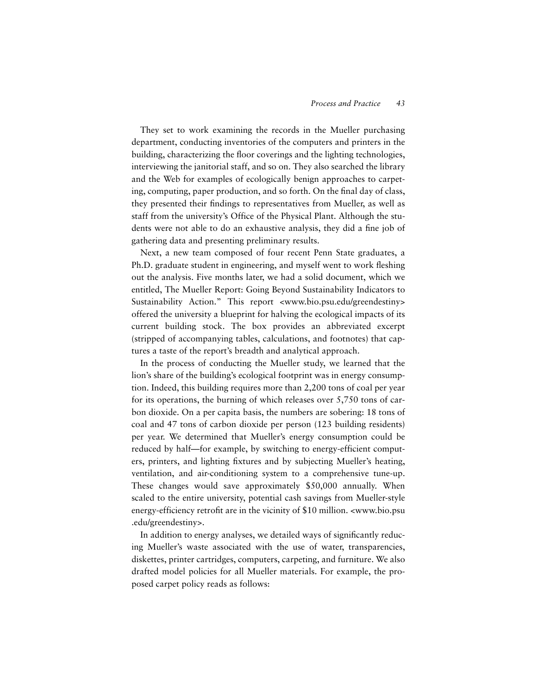They set to work examining the records in the Mueller purchasing department, conducting inventories of the computers and printers in the building, characterizing the floor coverings and the lighting technologies, interviewing the janitorial staff, and so on. They also searched the library and the Web for examples of ecologically benign approaches to carpeting, computing, paper production, and so forth. On the final day of class, they presented their findings to representatives from Mueller, as well as staff from the university's Office of the Physical Plant. Although the students were not able to do an exhaustive analysis, they did a fine job of gathering data and presenting preliminary results.

Next, a new team composed of four recent Penn State graduates, a Ph.D. graduate student in engineering, and myself went to work fleshing out the analysis. Five months later, we had a solid document, which we entitled, The Mueller Report: Going Beyond Sustainability Indicators to Sustainability Action." This report <www.bio.psu.edu/greendestiny> offered the university a blueprint for halving the ecological impacts of its current building stock. The box provides an abbreviated excerpt (stripped of accompanying tables, calculations, and footnotes) that captures a taste of the report's breadth and analytical approach.

In the process of conducting the Mueller study, we learned that the lion's share of the building's ecological footprint was in energy consumption. Indeed, this building requires more than 2,200 tons of coal per year for its operations, the burning of which releases over 5,750 tons of carbon dioxide. On a per capita basis, the numbers are sobering: 18 tons of coal and 47 tons of carbon dioxide per person (123 building residents) per year. We determined that Mueller's energy consumption could be reduced by half—for example, by switching to energy-efficient computers, printers, and lighting fixtures and by subjecting Mueller's heating, ventilation, and air-conditioning system to a comprehensive tune-up. These changes would save approximately \$50,000 annually. When scaled to the entire university, potential cash savings from Mueller-style energy-efficiency retrofit are in the vicinity of \$10 million. <www.bio.psu .edu/greendestiny>.

In addition to energy analyses, we detailed ways of significantly reducing Mueller's waste associated with the use of water, transparencies, diskettes, printer cartridges, computers, carpeting, and furniture. We also drafted model policies for all Mueller materials. For example, the proposed carpet policy reads as follows: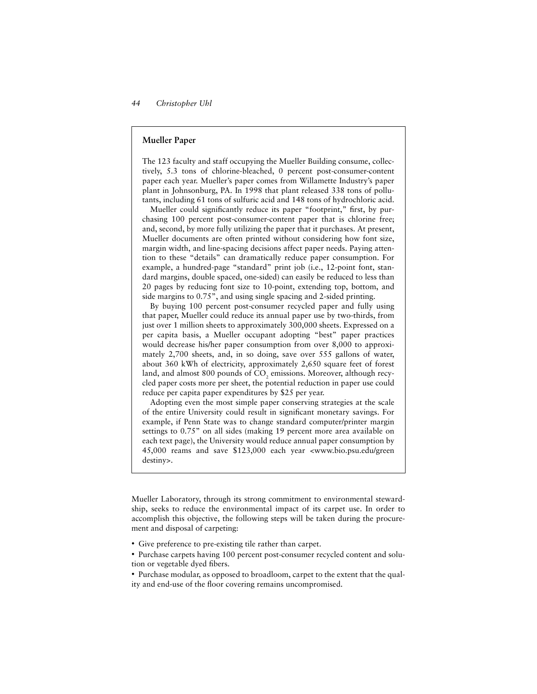# **Mueller Paper**

The 123 faculty and staff occupying the Mueller Building consume, collectively, 5.3 tons of chlorine-bleached, 0 percent post-consumer-content paper each year. Mueller's paper comes from Willamette Industry's paper plant in Johnsonburg, PA. In 1998 that plant released 338 tons of pollutants, including 61 tons of sulfuric acid and 148 tons of hydrochloric acid.

Mueller could significantly reduce its paper "footprint," first, by purchasing 100 percent post-consumer-content paper that is chlorine free; and, second, by more fully utilizing the paper that it purchases. At present, Mueller documents are often printed without considering how font size, margin width, and line-spacing decisions affect paper needs. Paying attention to these "details" can dramatically reduce paper consumption. For example, a hundred-page "standard" print job (i.e., 12-point font, standard margins, double spaced, one-sided) can easily be reduced to less than 20 pages by reducing font size to 10-point, extending top, bottom, and side margins to 0.75", and using single spacing and 2-sided printing.

By buying 100 percent post-consumer recycled paper and fully using that paper, Mueller could reduce its annual paper use by two-thirds, from just over 1 million sheets to approximately 300,000 sheets. Expressed on a per capita basis, a Mueller occupant adopting "best" paper practices would decrease his/her paper consumption from over 8,000 to approximately 2,700 sheets, and, in so doing, save over 555 gallons of water, about 360 kWh of electricity, approximately 2,650 square feet of forest land, and almost 800 pounds of CO<sub>2</sub> emissions. Moreover, although recycled paper costs more per sheet, the potential reduction in paper use could reduce per capita paper expenditures by \$25 per year.

Adopting even the most simple paper conserving strategies at the scale of the entire University could result in significant monetary savings. For example, if Penn State was to change standard computer/printer margin settings to 0.75" on all sides (making 19 percent more area available on each text page), the University would reduce annual paper consumption by 45,000 reams and save \$123,000 each year <www.bio.psu.edu/green destiny>.

Mueller Laboratory, through its strong commitment to environmental stewardship, seeks to reduce the environmental impact of its carpet use. In order to accomplish this objective, the following steps will be taken during the procurement and disposal of carpeting:

- Give preference to pre-existing tile rather than carpet.
- Purchase carpets having 100 percent post-consumer recycled content and solution or vegetable dyed fibers.
- Purchase modular, as opposed to broadloom, carpet to the extent that the quality and end-use of the floor covering remains uncompromised.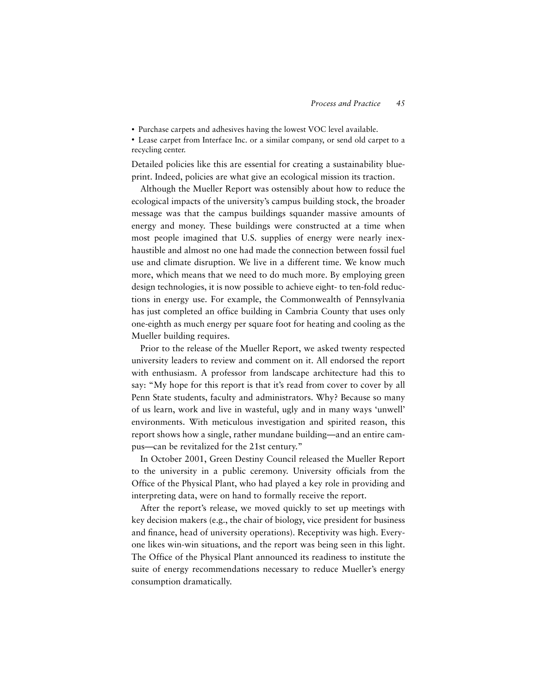• Purchase carpets and adhesives having the lowest VOC level available.

• Lease carpet from Interface Inc. or a similar company, or send old carpet to a recycling center.

Detailed policies like this are essential for creating a sustainability blueprint. Indeed, policies are what give an ecological mission its traction.

Although the Mueller Report was ostensibly about how to reduce the ecological impacts of the university's campus building stock, the broader message was that the campus buildings squander massive amounts of energy and money. These buildings were constructed at a time when most people imagined that U.S. supplies of energy were nearly inexhaustible and almost no one had made the connection between fossil fuel use and climate disruption. We live in a different time. We know much more, which means that we need to do much more. By employing green design technologies, it is now possible to achieve eight- to ten-fold reductions in energy use. For example, the Commonwealth of Pennsylvania has just completed an office building in Cambria County that uses only one-eighth as much energy per square foot for heating and cooling as the Mueller building requires.

Prior to the release of the Mueller Report, we asked twenty respected university leaders to review and comment on it. All endorsed the report with enthusiasm. A professor from landscape architecture had this to say: "My hope for this report is that it's read from cover to cover by all Penn State students, faculty and administrators. Why? Because so many of us learn, work and live in wasteful, ugly and in many ways 'unwell' environments. With meticulous investigation and spirited reason, this report shows how a single, rather mundane building—and an entire campus—can be revitalized for the 21st century."

In October 2001, Green Destiny Council released the Mueller Report to the university in a public ceremony. University officials from the Office of the Physical Plant, who had played a key role in providing and interpreting data, were on hand to formally receive the report.

After the report's release, we moved quickly to set up meetings with key decision makers (e.g., the chair of biology, vice president for business and finance, head of university operations). Receptivity was high. Everyone likes win-win situations, and the report was being seen in this light. The Office of the Physical Plant announced its readiness to institute the suite of energy recommendations necessary to reduce Mueller's energy consumption dramatically.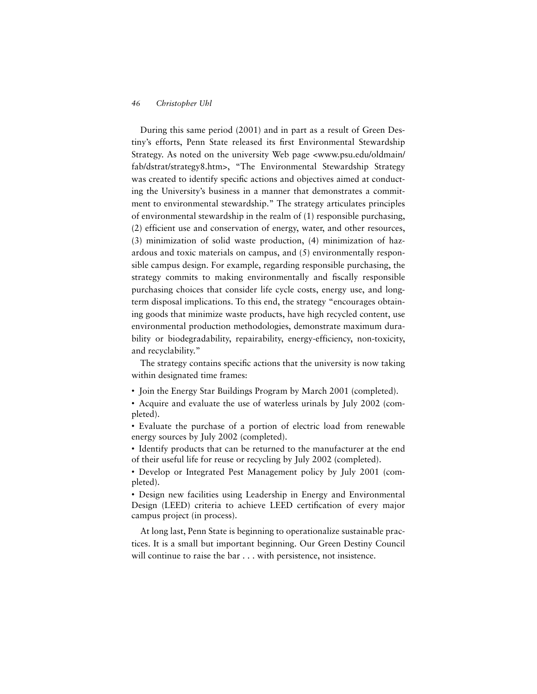During this same period (2001) and in part as a result of Green Destiny's efforts, Penn State released its first Environmental Stewardship Strategy. As noted on the university Web page <www.psu.edu/oldmain/ fab/dstrat/strategy8.htm>, "The Environmental Stewardship Strategy was created to identify specific actions and objectives aimed at conducting the University's business in a manner that demonstrates a commitment to environmental stewardship." The strategy articulates principles of environmental stewardship in the realm of (1) responsible purchasing, (2) efficient use and conservation of energy, water, and other resources, (3) minimization of solid waste production, (4) minimization of hazardous and toxic materials on campus, and (5) environmentally responsible campus design. For example, regarding responsible purchasing, the strategy commits to making environmentally and fiscally responsible purchasing choices that consider life cycle costs, energy use, and longterm disposal implications. To this end, the strategy "encourages obtaining goods that minimize waste products, have high recycled content, use environmental production methodologies, demonstrate maximum durability or biodegradability, repairability, energy-efficiency, non-toxicity, and recyclability."

The strategy contains specific actions that the university is now taking within designated time frames:

• Join the Energy Star Buildings Program by March 2001 (completed).

• Acquire and evaluate the use of waterless urinals by July 2002 (completed).

• Evaluate the purchase of a portion of electric load from renewable energy sources by July 2002 (completed).

• Identify products that can be returned to the manufacturer at the end of their useful life for reuse or recycling by July 2002 (completed).

• Develop or Integrated Pest Management policy by July 2001 (completed).

• Design new facilities using Leadership in Energy and Environmental Design (LEED) criteria to achieve LEED certification of every major campus project (in process).

At long last, Penn State is beginning to operationalize sustainable practices. It is a small but important beginning. Our Green Destiny Council will continue to raise the bar . . . with persistence, not insistence.